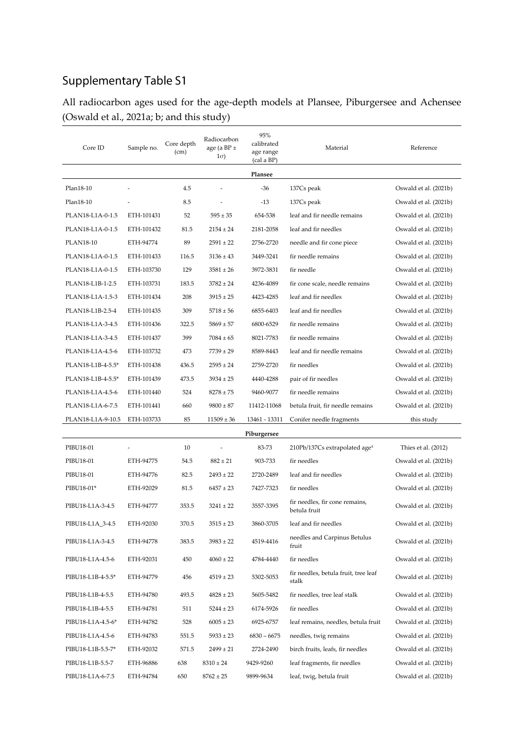## Supplementary Table S1

All radiocarbon ages used for the age-depth models at Plansee, Piburgersee and Achensee (Oswald et al., 2021a; b; and this study)

| Core ID           | Sample no. | Core depth<br>(cm) | Radiocarbon<br>age (a BP $\pm$<br>$1\sigma$ ) | 95%<br>calibrated<br>age range<br>(cal a BP) | Material                                       | Reference             |  |  |  |  |
|-------------------|------------|--------------------|-----------------------------------------------|----------------------------------------------|------------------------------------------------|-----------------------|--|--|--|--|
| Plansee           |            |                    |                                               |                                              |                                                |                       |  |  |  |  |
| Plan18-10         |            | 4.5                | ÷                                             | $-36$                                        | 137Cs peak                                     | Oswald et al. (2021b) |  |  |  |  |
| Plan18-10         |            | 8.5                |                                               | $-13$                                        | 137Cs peak                                     | Oswald et al. (2021b) |  |  |  |  |
| PLAN18-L1A-0-1.5  | ETH-101431 | 52                 | $595 \pm 35$                                  | 654-538                                      | leaf and fir needle remains                    | Oswald et al. (2021b) |  |  |  |  |
| PLAN18-L1A-0-1.5  | ETH-101432 | 81.5               | $2154 \pm 24$                                 | 2181-2058                                    | leaf and fir needles                           | Oswald et al. (2021b) |  |  |  |  |
| <b>PLAN18-10</b>  | ETH-94774  | 89                 | $2591 \pm 22$                                 | 2756-2720                                    | needle and fir cone piece                      | Oswald et al. (2021b) |  |  |  |  |
| PLAN18-L1A-0-1.5  | ETH-101433 | 116.5              | $3136 \pm 43$                                 | 3449-3241                                    | fir needle remains                             | Oswald et al. (2021b) |  |  |  |  |
| PLAN18-L1A-0-1.5  | ETH-103730 | 129                | $3581 \pm 26$                                 | 3972-3831                                    | fir needle                                     | Oswald et al. (2021b) |  |  |  |  |
| PLAN18-L1B-1-2.5  | ETH-103731 | 183.5              | $3782 \pm 24$                                 | 4236-4089                                    | fir cone scale, needle remains                 | Oswald et al. (2021b) |  |  |  |  |
| PLAN18-L1A-1.5-3  | ETH-101434 | 208                | $3915 \pm 25$                                 | 4423-4285                                    | leaf and fir needles                           | Oswald et al. (2021b) |  |  |  |  |
| PLAN18-L1B-2.5-4  | ETH-101435 | 309                | $5718 \pm 56$                                 | 6855-6403                                    | leaf and fir needles                           | Oswald et al. (2021b) |  |  |  |  |
| PLAN18-L1A-3-4.5  | ETH-101436 | 322.5              | $5869 \pm 57$                                 | 6800-6529                                    | fir needle remains                             | Oswald et al. (2021b) |  |  |  |  |
| PLAN18-L1A-3-4.5  | ETH-101437 | 399                | $7084 \pm 65$                                 | 8021-7783                                    | fir needle remains                             | Oswald et al. (2021b) |  |  |  |  |
| PLAN18-L1A-4.5-6  | ETH-103732 | 473                | $7739 \pm 29$                                 | 8589-8443                                    | leaf and fir needle remains                    | Oswald et al. (2021b) |  |  |  |  |
| PLAN18-L1B-4-5.5* | ETH-101438 | 436.5              | $2595 \pm 24$                                 | 2759-2720                                    | fir needles                                    | Oswald et al. (2021b) |  |  |  |  |
| PLAN18-L1B-4-5.5* | ETH-101439 | 473.5              | $3934 \pm 25$                                 | 4440-4288                                    | pair of fir needles                            | Oswald et al. (2021b) |  |  |  |  |
| PLAN18-L1A-4.5-6  | ETH-101440 | 524                | $8278 \pm 75$                                 | 9460-9077                                    | fir needle remains                             | Oswald et al. (2021b) |  |  |  |  |
| PLAN18-L1A-6-7.5  | ETH-101441 | 660                | $9800 \pm 87$                                 | 11412-11068                                  | betula fruit, fir needle remains               | Oswald et al. (2021b) |  |  |  |  |
| PLAN18-L1A-9-10.5 | ETH-103733 | 85                 | $11509 \pm 36$                                | 13461 - 13311                                | Conifer needle fragments                       | this study            |  |  |  |  |
|                   |            |                    |                                               | Piburgersee                                  |                                                |                       |  |  |  |  |
| PIBU18-01         |            | 10                 |                                               | 83-73                                        | 210Pb/137Cs extrapolated age <sup>4</sup>      | Thies et al. (2012)   |  |  |  |  |
| PIBU18-01         | ETH-94775  | 54.5               | $882 \pm 21$                                  | 903-733                                      | fir needles                                    | Oswald et al. (2021b) |  |  |  |  |
| PIBU18-01         | ETH-94776  | 82.5               | $2493 \pm 22$                                 | 2720-2489                                    | leaf and fir needles                           | Oswald et al. (2021b) |  |  |  |  |
| PIBU18-01*        | ETH-92029  | 81.5               | $6457 \pm 23$                                 | 7427-7323                                    | fir needles                                    | Oswald et al. (2021b) |  |  |  |  |
| PIBU18-L1A-3-4.5  | ETH-94777  | 353.5              | $3241 \pm 22$                                 | 3557-3395                                    | fir needles, fir cone remains,<br>betula fruit | Oswald et al. (2021b) |  |  |  |  |
| PIBU18-L1A_3-4.5  | ETH-92030  | 370.5              | $3515 \pm 23$                                 | 3860-3705                                    | leaf and fir needles                           | Oswald et al. (2021b) |  |  |  |  |
| PIBU18-L1A-3-4.5  | ETH-94778  | 383.5              | $3983 \pm 22$                                 | 4519-4416                                    | needles and Carpinus Betulus<br>fruit          | Oswald et al. (2021b) |  |  |  |  |
| PIBU18-L1A-4.5-6  | ETH-92031  | 450                | $4060 \pm 22$                                 | 4784-4440                                    | fir needles                                    | Oswald et al. (2021b) |  |  |  |  |
| PIBU18-L1B-4-5.5* | ETH-94779  | 456                | $4519 \pm 23$                                 | 5302-5053                                    | fir needles, betula fruit, tree leaf<br>stalk  | Oswald et al. (2021b) |  |  |  |  |
| PIBU18-L1B-4-5.5  | ETH-94780  | 493.5              | $4828 \pm 23$                                 | 5605-5482                                    | fir needles, tree leaf stalk                   | Oswald et al. (2021b) |  |  |  |  |
| PIBU18-L1B-4-5.5  | ETH-94781  | 511                | $5244 \pm 23$                                 | 6174-5926                                    | fir needles                                    | Oswald et al. (2021b) |  |  |  |  |
| PIBU18-L1A-4.5-6* | ETH-94782  | 528                | $6005 \pm 23$                                 | 6925-6757                                    | leaf remains, needles, betula fruit            | Oswald et al. (2021b) |  |  |  |  |
| PIBU18-L1A-4.5-6  | ETH-94783  | 551.5              | $5933 \pm 23$                                 | $6830 - 6675$                                | needles, twig remains                          | Oswald et al. (2021b) |  |  |  |  |
| PIBU18-L1B-5.5-7* | ETH-92032  | 571.5              | $2499 \pm 21$                                 | 2724-2490                                    | birch fruits, leafs, fir needles               | Oswald et al. (2021b) |  |  |  |  |
| PIBU18-L1B-5.5-7  | ETH-96886  | 638                | $8310 \pm 24$                                 | 9429-9260                                    | leaf fragments, fir needles                    | Oswald et al. (2021b) |  |  |  |  |
| PIBU18-L1A-6-7.5  | ETH-94784  | 650                | $8762 \pm 25$                                 | 9899-9634                                    | leaf, twig, betula fruit                       | Oswald et al. (2021b) |  |  |  |  |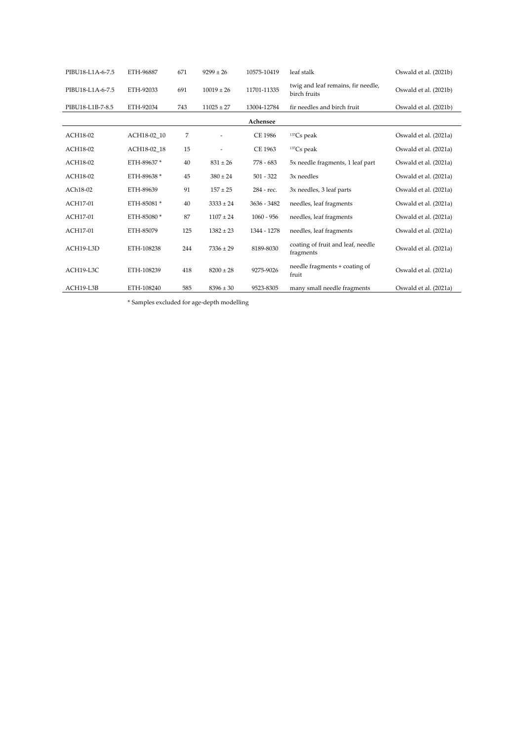| PIBU18-L1A-6-7.5 | ETH-96887   | 671 | $9299 \pm 26$  | 10575-10419    | leaf stalk                                         | Oswald et al. (2021b) |
|------------------|-------------|-----|----------------|----------------|----------------------------------------------------|-----------------------|
| PIBU18-L1A-6-7.5 | ETH-92033   | 691 | $10019 \pm 26$ | 11701-11335    | twig and leaf remains, fir needle,<br>birch fruits | Oswald et al. (2021b) |
| PIBU18-L1B-7-8.5 | ETH-92034   | 743 | $11025 \pm 27$ | 13004-12784    | fir needles and birch fruit                        | Oswald et al. (2021b) |
|                  |             |     |                | Achensee       |                                                    |                       |
| ACH18-02         | ACH18-02 10 | 7   |                | <b>CE 1986</b> | $137Cs$ peak                                       | Oswald et al. (2021a) |
| ACH18-02         | ACH18-02 18 | 15  |                | CE 1963        | $137Cs$ peak                                       | Oswald et al. (2021a) |
| ACH18-02         | ETH-89637*  | 40  | $831 \pm 26$   | $778 - 683$    | 5x needle fragments, 1 leaf part                   | Oswald et al. (2021a) |
| ACH18-02         | ETH-89638 * | 45  | $380 \pm 24$   | $501 - 322$    | 3x needles                                         | Oswald et al. (2021a) |
| ACh18-02         | ETH-89639   | 91  | $157 \pm 25$   | 284 - rec.     | 3x needles, 3 leaf parts                           | Oswald et al. (2021a) |
| ACH17-01         | ETH-85081 * | 40  | $3333 \pm 24$  | 3636 - 3482    | needles, leaf fragments                            | Oswald et al. (2021a) |
| ACH17-01         | ETH-85080 * | 87  | $1107 \pm 24$  | $1060 - 956$   | needles, leaf fragments                            | Oswald et al. (2021a) |
| ACH17-01         | ETH-85079   | 125 | $1382 \pm 23$  | 1344 - 1278    | needles, leaf fragments                            | Oswald et al. (2021a) |
| ACH19-L3D        | ETH-108238  | 244 | $7336 \pm 29$  | 8189-8030      | coating of fruit and leaf, needle<br>fragments     | Oswald et al. (2021a) |
| ACH19-L3C        | ETH-108239  | 418 | $8200 \pm 28$  | 9275-9026      | needle fragments + coating of<br>fruit             | Oswald et al. (2021a) |
| ACH19-L3B        | ETH-108240  | 585 | $8396 \pm 30$  | 9523-8305      | many small needle fragments                        | Oswald et al. (2021a) |

\* Samples excluded for age-depth modelling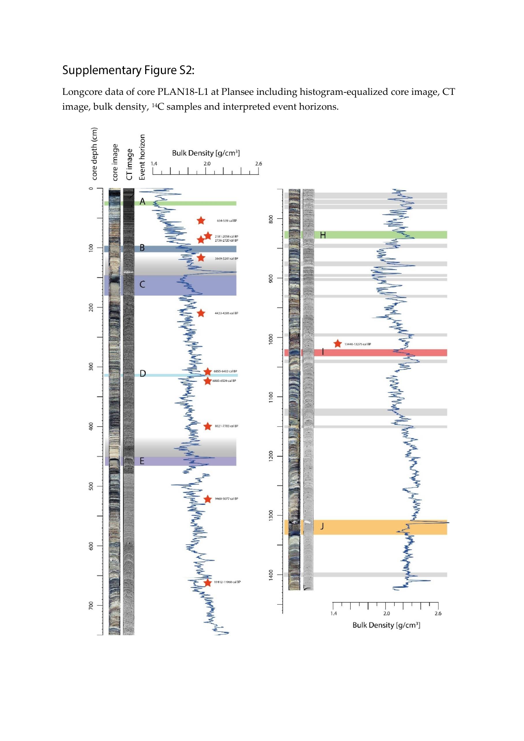## Supplementary Figure S2:

Longcore data of core PLAN18-L1 at Plansee including histogram-equalized core image, CT image, bulk density, 14C samples and interpreted event horizons.